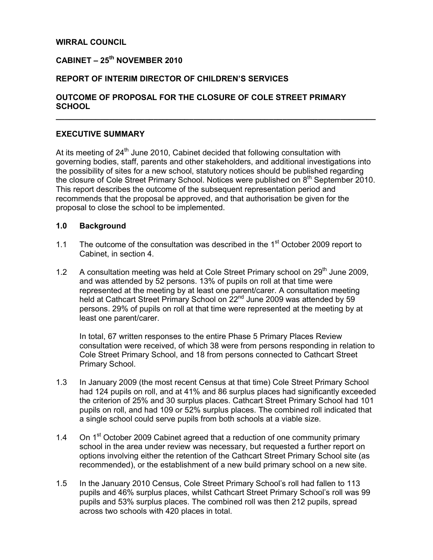# **WIRRAL COUNCIL**

# **CABINET – 25th NOVEMBER 2010**

#### **REPORT OF INTERIM DIRECTOR OF CHILDREN'S SERVICES**

# **OUTCOME OF PROPOSAL FOR THE CLOSURE OF COLE STREET PRIMARY SCHOOL**

#### **EXECUTIVE SUMMARY**

At its meeting of  $24<sup>th</sup>$  June 2010, Cabinet decided that following consultation with governing bodies, staff, parents and other stakeholders, and additional investigations into the possibility of sites for a new school, statutory notices should be published regarding the closure of Cole Street Primary School. Notices were published on 8<sup>th</sup> September 2010. This report describes the outcome of the subsequent representation period and recommends that the proposal be approved, and that authorisation be given for the proposal to close the school to be implemented.

**\_\_\_\_\_\_\_\_\_\_\_\_\_\_\_\_\_\_\_\_\_\_\_\_\_\_\_\_\_\_\_\_\_\_\_\_\_\_\_\_\_\_\_\_\_\_\_\_\_\_\_\_\_\_\_\_\_\_\_\_\_\_\_\_\_\_\_\_\_\_\_\_** 

#### **1.0 Background**

- 1.1 The outcome of the consultation was described in the  $1<sup>st</sup>$  October 2009 report to Cabinet, in section 4.
- 1.2 A consultation meeting was held at Cole Street Primary school on  $29<sup>th</sup>$  June 2009, and was attended by 52 persons. 13% of pupils on roll at that time were represented at the meeting by at least one parent/carer. A consultation meeting held at Cathcart Street Primary School on 22<sup>nd</sup> June 2009 was attended by 59 persons. 29% of pupils on roll at that time were represented at the meeting by at least one parent/carer.

 In total, 67 written responses to the entire Phase 5 Primary Places Review consultation were received, of which 38 were from persons responding in relation to Cole Street Primary School, and 18 from persons connected to Cathcart Street Primary School.

- 1.3 In January 2009 (the most recent Census at that time) Cole Street Primary School had 124 pupils on roll, and at 41% and 86 surplus places had significantly exceeded the criterion of 25% and 30 surplus places. Cathcart Street Primary School had 101 pupils on roll, and had 109 or 52% surplus places. The combined roll indicated that a single school could serve pupils from both schools at a viable size.
- 1.4 On 1<sup>st</sup> October 2009 Cabinet agreed that a reduction of one community primary school in the area under review was necessary, but requested a further report on options involving either the retention of the Cathcart Street Primary School site (as recommended), or the establishment of a new build primary school on a new site.
- 1.5 In the January 2010 Census, Cole Street Primary School's roll had fallen to 113 pupils and 46% surplus places, whilst Cathcart Street Primary School's roll was 99 pupils and 53% surplus places. The combined roll was then 212 pupils, spread across two schools with 420 places in total.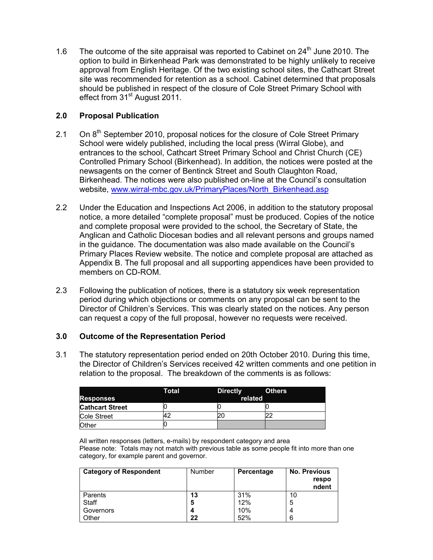1.6 The outcome of the site appraisal was reported to Cabinet on  $24<sup>th</sup>$  June 2010. The option to build in Birkenhead Park was demonstrated to be highly unlikely to receive approval from English Heritage. Of the two existing school sites, the Cathcart Street site was recommended for retention as a school. Cabinet determined that proposals should be published in respect of the closure of Cole Street Primary School with effect from 31<sup>st</sup> August 2011.

# **2.0 Proposal Publication**

- 2.1 On  $8<sup>th</sup>$  September 2010, proposal notices for the closure of Cole Street Primary School were widely published, including the local press (Wirral Globe), and entrances to the school, Cathcart Street Primary School and Christ Church (CE) Controlled Primary School (Birkenhead). In addition, the notices were posted at the newsagents on the corner of Bentinck Street and South Claughton Road, Birkenhead. The notices were also published on-line at the Council's consultation website, www.wirral-mbc.gov.uk/PrimaryPlaces/North\_Birkenhead.asp
- 2.2 Under the Education and Inspections Act 2006, in addition to the statutory proposal notice, a more detailed "complete proposal" must be produced. Copies of the notice and complete proposal were provided to the school, the Secretary of State, the Anglican and Catholic Diocesan bodies and all relevant persons and groups named in the guidance. The documentation was also made available on the Council's Primary Places Review website. The notice and complete proposal are attached as Appendix B. The full proposal and all supporting appendices have been provided to members on CD-ROM.
- 2.3 Following the publication of notices, there is a statutory six week representation period during which objections or comments on any proposal can be sent to the Director of Children's Services. This was clearly stated on the notices. Any person can request a copy of the full proposal, however no requests were received.

# **3.0 Outcome of the Representation Period**

3.1 The statutory representation period ended on 20th October 2010. During this time, the Director of Children's Services received 42 written comments and one petition in relation to the proposal. The breakdown of the comments is as follows:

|                        | Total | <b>Directly</b> | <b>Others</b> |
|------------------------|-------|-----------------|---------------|
| <b>Responses</b>       |       | related         |               |
| <b>Cathcart Street</b> |       |                 |               |
| Cole Street            |       |                 |               |
| Other                  |       |                 |               |

 All written responses (letters, e-mails) by respondent category and area Please note: Totals may not match with previous table as some people fit into more than one category, for example parent and governor.

| <b>Category of Respondent</b> | Number | Percentage | <b>No. Previous</b><br>respo<br>ndent |
|-------------------------------|--------|------------|---------------------------------------|
| Parents                       | 13     | 31%        | 10                                    |
| Staff                         | 5      | 12%        | 5                                     |
| Governors                     | 4      | 10%        |                                       |
| Other                         | 22     | 52%        | 6                                     |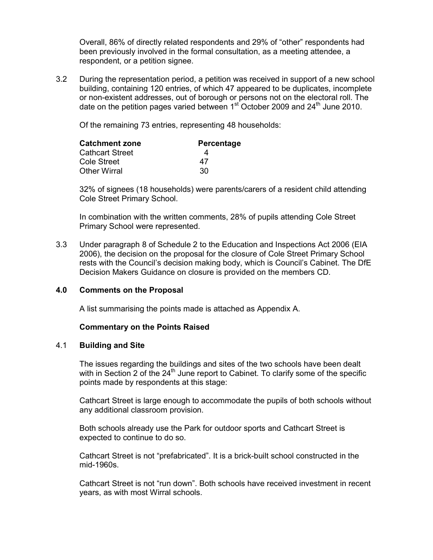Overall, 86% of directly related respondents and 29% of "other" respondents had been previously involved in the formal consultation, as a meeting attendee, a respondent, or a petition signee.

3.2 During the representation period, a petition was received in support of a new school building, containing 120 entries, of which 47 appeared to be duplicates, incomplete or non-existent addresses, out of borough or persons not on the electoral roll. The date on the petition pages varied between  $1<sup>st</sup>$  October 2009 and 24<sup>th</sup> June 2010.

Of the remaining 73 entries, representing 48 households:

| <b>Catchment zone</b>  | Percentage |
|------------------------|------------|
| <b>Cathcart Street</b> |            |
| Cole Street            | 47         |
| <b>Other Wirral</b>    | 30         |

 32% of signees (18 households) were parents/carers of a resident child attending Cole Street Primary School.

 In combination with the written comments, 28% of pupils attending Cole Street Primary School were represented.

3.3 Under paragraph 8 of Schedule 2 to the Education and Inspections Act 2006 (EIA 2006), the decision on the proposal for the closure of Cole Street Primary School rests with the Council's decision making body, which is Council's Cabinet. The DfE Decision Makers Guidance on closure is provided on the members CD.

# **4.0 Comments on the Proposal**

A list summarising the points made is attached as Appendix A.

#### **Commentary on the Points Raised**

#### 4.1 **Building and Site**

 The issues regarding the buildings and sites of the two schools have been dealt with in Section 2 of the  $24<sup>th</sup>$  June report to Cabinet. To clarify some of the specific points made by respondents at this stage:

 Cathcart Street is large enough to accommodate the pupils of both schools without any additional classroom provision.

 Both schools already use the Park for outdoor sports and Cathcart Street is expected to continue to do so.

 Cathcart Street is not "prefabricated". It is a brick-built school constructed in the mid-1960s.

 Cathcart Street is not "run down". Both schools have received investment in recent years, as with most Wirral schools.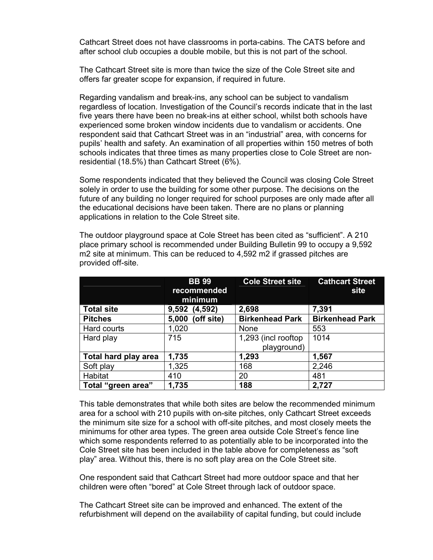Cathcart Street does not have classrooms in porta-cabins. The CATS before and after school club occupies a double mobile, but this is not part of the school.

 The Cathcart Street site is more than twice the size of the Cole Street site and offers far greater scope for expansion, if required in future.

 Regarding vandalism and break-ins, any school can be subject to vandalism regardless of location. Investigation of the Council's records indicate that in the last five years there have been no break-ins at either school, whilst both schools have experienced some broken window incidents due to vandalism or accidents. One respondent said that Cathcart Street was in an "industrial" area, with concerns for pupils' health and safety. An examination of all properties within 150 metres of both schools indicates that three times as many properties close to Cole Street are nonresidential (18.5%) than Cathcart Street (6%).

 Some respondents indicated that they believed the Council was closing Cole Street solely in order to use the building for some other purpose. The decisions on the future of any building no longer required for school purposes are only made after all the educational decisions have been taken. There are no plans or planning applications in relation to the Cole Street site.

|                      | <b>BB</b> 99<br>recommended<br>minimum | <b>Cole Street site</b> | <b>Cathcart Street</b><br>site |
|----------------------|----------------------------------------|-------------------------|--------------------------------|
| <b>Total site</b>    | 9,592<br>(4,592)                       | 2,698                   | 7,391                          |
| <b>Pitches</b>       | (off site)<br>5,000                    | <b>Birkenhead Park</b>  | <b>Birkenhead Park</b>         |
| Hard courts          | 1,020                                  | None                    | 553                            |
| Hard play            | 715                                    | 1,293 (incl rooftop     | 1014                           |
|                      |                                        | playground)             |                                |
| Total hard play area | 1,735                                  | 1,293                   | 1,567                          |
| Soft play            | 1,325                                  | 168                     | 2,246                          |
| Habitat              | 410                                    | 20                      | 481                            |
| Total "green area"   | 1,735                                  | 188                     | 2,727                          |

 The outdoor playground space at Cole Street has been cited as "sufficient". A 210 place primary school is recommended under Building Bulletin 99 to occupy a 9,592 m2 site at minimum. This can be reduced to 4,592 m2 if grassed pitches are provided off-site.

 This table demonstrates that while both sites are below the recommended minimum area for a school with 210 pupils with on-site pitches, only Cathcart Street exceeds the minimum site size for a school with off-site pitches, and most closely meets the minimums for other area types. The green area outside Cole Street's fence line which some respondents referred to as potentially able to be incorporated into the Cole Street site has been included in the table above for completeness as "soft play" area. Without this, there is no soft play area on the Cole Street site.

 One respondent said that Cathcart Street had more outdoor space and that her children were often "bored" at Cole Street through lack of outdoor space.

 The Cathcart Street site can be improved and enhanced. The extent of the refurbishment will depend on the availability of capital funding, but could include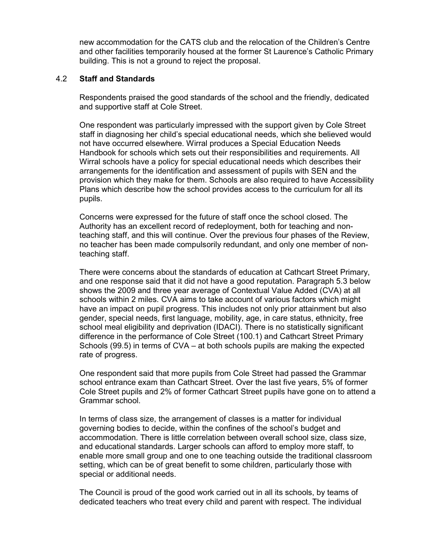new accommodation for the CATS club and the relocation of the Children's Centre and other facilities temporarily housed at the former St Laurence's Catholic Primary building. This is not a ground to reject the proposal.

#### 4.2 **Staff and Standards**

 Respondents praised the good standards of the school and the friendly, dedicated and supportive staff at Cole Street.

 One respondent was particularly impressed with the support given by Cole Street staff in diagnosing her child's special educational needs, which she believed would not have occurred elsewhere. Wirral produces a Special Education Needs Handbook for schools which sets out their responsibilities and requirements. All Wirral schools have a policy for special educational needs which describes their arrangements for the identification and assessment of pupils with SEN and the provision which they make for them. Schools are also required to have Accessibility Plans which describe how the school provides access to the curriculum for all its pupils.

 Concerns were expressed for the future of staff once the school closed. The Authority has an excellent record of redeployment, both for teaching and nonteaching staff, and this will continue. Over the previous four phases of the Review, no teacher has been made compulsorily redundant, and only one member of nonteaching staff.

 There were concerns about the standards of education at Cathcart Street Primary, and one response said that it did not have a good reputation. Paragraph 5.3 below shows the 2009 and three year average of Contextual Value Added (CVA) at all schools within 2 miles. CVA aims to take account of various factors which might have an impact on pupil progress. This includes not only prior attainment but also gender, special needs, first language, mobility, age, in care status, ethnicity, free school meal eligibility and deprivation (IDACI). There is no statistically significant difference in the performance of Cole Street (100.1) and Cathcart Street Primary Schools (99.5) in terms of CVA – at both schools pupils are making the expected rate of progress.

 One respondent said that more pupils from Cole Street had passed the Grammar school entrance exam than Cathcart Street. Over the last five years, 5% of former Cole Street pupils and 2% of former Cathcart Street pupils have gone on to attend a Grammar school.

 In terms of class size, the arrangement of classes is a matter for individual governing bodies to decide, within the confines of the school's budget and accommodation. There is little correlation between overall school size, class size, and educational standards. Larger schools can afford to employ more staff, to enable more small group and one to one teaching outside the traditional classroom setting, which can be of great benefit to some children, particularly those with special or additional needs.

 The Council is proud of the good work carried out in all its schools, by teams of dedicated teachers who treat every child and parent with respect. The individual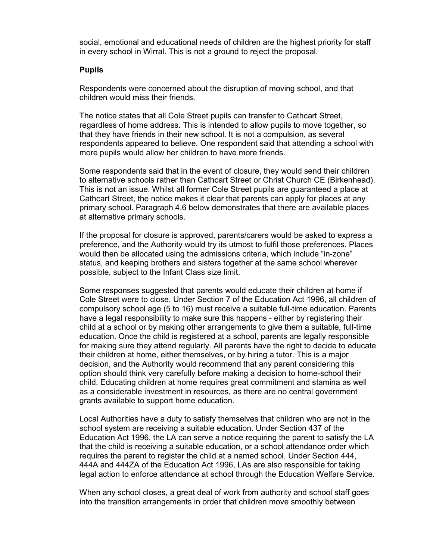social, emotional and educational needs of children are the highest priority for staff in every school in Wirral. This is not a ground to reject the proposal.

#### **Pupils**

 Respondents were concerned about the disruption of moving school, and that children would miss their friends.

 The notice states that all Cole Street pupils can transfer to Cathcart Street, regardless of home address. This is intended to allow pupils to move together, so that they have friends in their new school. It is not a compulsion, as several respondents appeared to believe. One respondent said that attending a school with more pupils would allow her children to have more friends.

 Some respondents said that in the event of closure, they would send their children to alternative schools rather than Cathcart Street or Christ Church CE (Birkenhead). This is not an issue. Whilst all former Cole Street pupils are guaranteed a place at Cathcart Street, the notice makes it clear that parents can apply for places at any primary school. Paragraph 4.6 below demonstrates that there are available places at alternative primary schools.

 If the proposal for closure is approved, parents/carers would be asked to express a preference, and the Authority would try its utmost to fulfil those preferences. Places would then be allocated using the admissions criteria, which include "in-zone" status, and keeping brothers and sisters together at the same school wherever possible, subject to the Infant Class size limit.

 Some responses suggested that parents would educate their children at home if Cole Street were to close. Under Section 7 of the Education Act 1996, all children of compulsory school age (5 to 16) must receive a suitable full-time education. Parents have a legal responsibility to make sure this happens - either by registering their child at a school or by making other arrangements to give them a suitable, full-time education. Once the child is registered at a school, parents are legally responsible for making sure they attend regularly. All parents have the right to decide to educate their children at home, either themselves, or by hiring a tutor. This is a major decision, and the Authority would recommend that any parent considering this option should think very carefully before making a decision to home-school their child. Educating children at home requires great commitment and stamina as well as a considerable investment in resources, as there are no central government grants available to support home education.

 Local Authorities have a duty to satisfy themselves that children who are not in the school system are receiving a suitable education. Under Section 437 of the Education Act 1996, the LA can serve a notice requiring the parent to satisfy the LA that the child is receiving a suitable education, or a school attendance order which requires the parent to register the child at a named school. Under Section 444, 444A and 444ZA of the Education Act 1996, LAs are also responsible for taking legal action to enforce attendance at school through the Education Welfare Service.

 When any school closes, a great deal of work from authority and school staff goes into the transition arrangements in order that children move smoothly between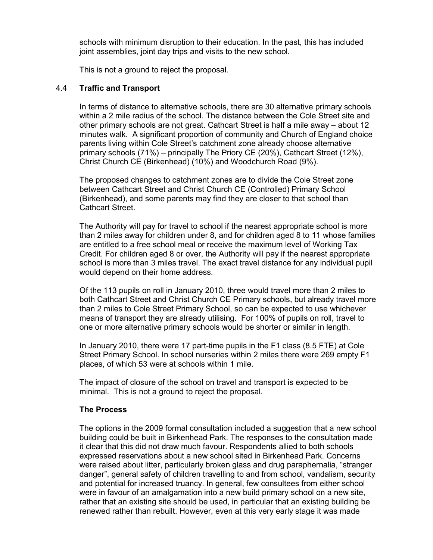schools with minimum disruption to their education. In the past, this has included joint assemblies, joint day trips and visits to the new school.

This is not a ground to reject the proposal.

#### 4.4 **Traffic and Transport**

 In terms of distance to alternative schools, there are 30 alternative primary schools within a 2 mile radius of the school. The distance between the Cole Street site and other primary schools are not great. Cathcart Street is half a mile away – about 12 minutes walk. A significant proportion of community and Church of England choice parents living within Cole Street's catchment zone already choose alternative primary schools (71%) – principally The Priory CE (20%), Cathcart Street (12%), Christ Church CE (Birkenhead) (10%) and Woodchurch Road (9%).

 The proposed changes to catchment zones are to divide the Cole Street zone between Cathcart Street and Christ Church CE (Controlled) Primary School (Birkenhead), and some parents may find they are closer to that school than Cathcart Street.

 The Authority will pay for travel to school if the nearest appropriate school is more than 2 miles away for children under 8, and for children aged 8 to 11 whose families are entitled to a free school meal or receive the maximum level of Working Tax Credit. For children aged 8 or over, the Authority will pay if the nearest appropriate school is more than 3 miles travel. The exact travel distance for any individual pupil would depend on their home address.

 Of the 113 pupils on roll in January 2010, three would travel more than 2 miles to both Cathcart Street and Christ Church CE Primary schools, but already travel more than 2 miles to Cole Street Primary School, so can be expected to use whichever means of transport they are already utilising. For 100% of pupils on roll, travel to one or more alternative primary schools would be shorter or similar in length.

 In January 2010, there were 17 part-time pupils in the F1 class (8.5 FTE) at Cole Street Primary School. In school nurseries within 2 miles there were 269 empty F1 places, of which 53 were at schools within 1 mile.

 The impact of closure of the school on travel and transport is expected to be minimal. This is not a ground to reject the proposal.

# **The Process**

 The options in the 2009 formal consultation included a suggestion that a new school building could be built in Birkenhead Park. The responses to the consultation made it clear that this did not draw much favour. Respondents allied to both schools expressed reservations about a new school sited in Birkenhead Park. Concerns were raised about litter, particularly broken glass and drug paraphernalia, "stranger danger", general safety of children travelling to and from school, vandalism, security and potential for increased truancy. In general, few consultees from either school were in favour of an amalgamation into a new build primary school on a new site, rather that an existing site should be used, in particular that an existing building be renewed rather than rebuilt. However, even at this very early stage it was made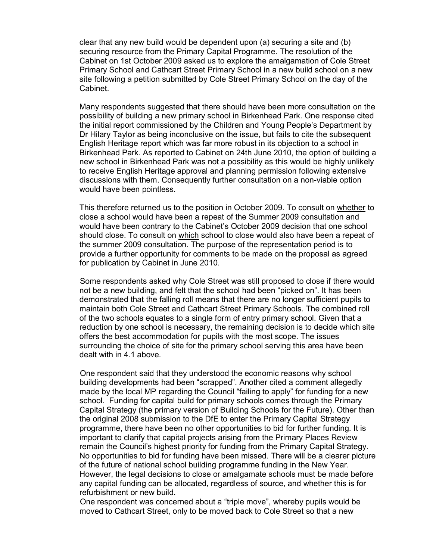clear that any new build would be dependent upon (a) securing a site and (b) securing resource from the Primary Capital Programme. The resolution of the Cabinet on 1st October 2009 asked us to explore the amalgamation of Cole Street Primary School and Cathcart Street Primary School in a new build school on a new site following a petition submitted by Cole Street Primary School on the day of the Cabinet.

 Many respondents suggested that there should have been more consultation on the possibility of building a new primary school in Birkenhead Park. One response cited the initial report commissioned by the Children and Young People's Department by Dr Hilary Taylor as being inconclusive on the issue, but fails to cite the subsequent English Heritage report which was far more robust in its objection to a school in Birkenhead Park. As reported to Cabinet on 24th June 2010, the option of building a new school in Birkenhead Park was not a possibility as this would be highly unlikely to receive English Heritage approval and planning permission following extensive discussions with them. Consequently further consultation on a non-viable option would have been pointless.

 This therefore returned us to the position in October 2009. To consult on whether to close a school would have been a repeat of the Summer 2009 consultation and would have been contrary to the Cabinet's October 2009 decision that one school should close. To consult on which school to close would also have been a repeat of the summer 2009 consultation. The purpose of the representation period is to provide a further opportunity for comments to be made on the proposal as agreed for publication by Cabinet in June 2010.

 Some respondents asked why Cole Street was still proposed to close if there would not be a new building, and felt that the school had been "picked on". It has been demonstrated that the falling roll means that there are no longer sufficient pupils to maintain both Cole Street and Cathcart Street Primary Schools. The combined roll of the two schools equates to a single form of entry primary school. Given that a reduction by one school is necessary, the remaining decision is to decide which site offers the best accommodation for pupils with the most scope. The issues surrounding the choice of site for the primary school serving this area have been dealt with in 4.1 above.

 One respondent said that they understood the economic reasons why school building developments had been "scrapped". Another cited a comment allegedly made by the local MP regarding the Council "failing to apply" for funding for a new school. Funding for capital build for primary schools comes through the Primary Capital Strategy (the primary version of Building Schools for the Future). Other than the original 2008 submission to the DfE to enter the Primary Capital Strategy programme, there have been no other opportunities to bid for further funding. It is important to clarify that capital projects arising from the Primary Places Review remain the Council's highest priority for funding from the Primary Capital Strategy. No opportunities to bid for funding have been missed. There will be a clearer picture of the future of national school building programme funding in the New Year. However, the legal decisions to close or amalgamate schools must be made before any capital funding can be allocated, regardless of source, and whether this is for refurbishment or new build.

 One respondent was concerned about a "triple move", whereby pupils would be moved to Cathcart Street, only to be moved back to Cole Street so that a new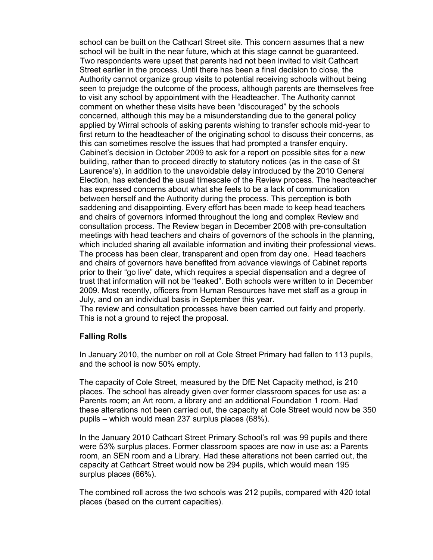school can be built on the Cathcart Street site. This concern assumes that a new school will be built in the near future, which at this stage cannot be guaranteed. Two respondents were upset that parents had not been invited to visit Cathcart Street earlier in the process. Until there has been a final decision to close, the Authority cannot organize group visits to potential receiving schools without being seen to prejudge the outcome of the process, although parents are themselves free to visit any school by appointment with the Headteacher. The Authority cannot comment on whether these visits have been "discouraged" by the schools concerned, although this may be a misunderstanding due to the general policy applied by Wirral schools of asking parents wishing to transfer schools mid-year to first return to the headteacher of the originating school to discuss their concerns, as this can sometimes resolve the issues that had prompted a transfer enquiry. Cabinet's decision in October 2009 to ask for a report on possible sites for a new building, rather than to proceed directly to statutory notices (as in the case of St Laurence's), in addition to the unavoidable delay introduced by the 2010 General Election, has extended the usual timescale of the Review process. The headteacher has expressed concerns about what she feels to be a lack of communication between herself and the Authority during the process. This perception is both saddening and disappointing. Every effort has been made to keep head teachers and chairs of governors informed throughout the long and complex Review and consultation process. The Review began in December 2008 with pre-consultation meetings with head teachers and chairs of governors of the schools in the planning, which included sharing all available information and inviting their professional views. The process has been clear, transparent and open from day one. Head teachers and chairs of governors have benefited from advance viewings of Cabinet reports prior to their "go live" date, which requires a special dispensation and a degree of trust that information will not be "leaked". Both schools were written to in December 2009. Most recently, officers from Human Resources have met staff as a group in July, and on an individual basis in September this year.

 The review and consultation processes have been carried out fairly and properly. This is not a ground to reject the proposal.

# **Falling Rolls**

 In January 2010, the number on roll at Cole Street Primary had fallen to 113 pupils, and the school is now 50% empty.

 The capacity of Cole Street, measured by the DfE Net Capacity method, is 210 places. The school has already given over former classroom spaces for use as: a Parents room; an Art room, a library and an additional Foundation 1 room. Had these alterations not been carried out, the capacity at Cole Street would now be 350 pupils – which would mean 237 surplus places (68%).

 In the January 2010 Cathcart Street Primary School's roll was 99 pupils and there were 53% surplus places. Former classroom spaces are now in use as: a Parents room, an SEN room and a Library. Had these alterations not been carried out, the capacity at Cathcart Street would now be 294 pupils, which would mean 195 surplus places (66%).

 The combined roll across the two schools was 212 pupils, compared with 420 total places (based on the current capacities).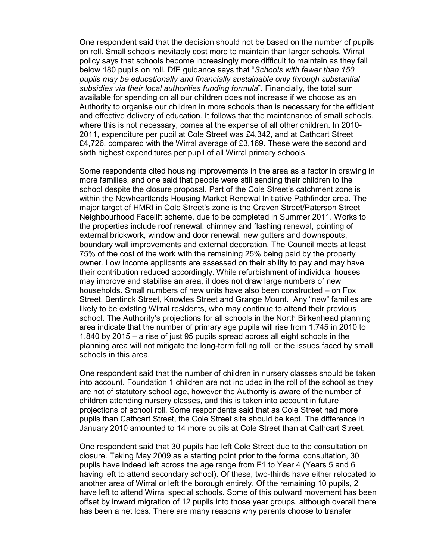One respondent said that the decision should not be based on the number of pupils on roll. Small schools inevitably cost more to maintain than larger schools. Wirral policy says that schools become increasingly more difficult to maintain as they fall below 180 pupils on roll. DfE guidance says that "*Schools with fewer than 150 pupils may be educationally and financially sustainable only through substantial subsidies via their local authorities funding formula*". Financially, the total sum available for spending on all our children does not increase if we choose as an Authority to organise our children in more schools than is necessary for the efficient and effective delivery of education. It follows that the maintenance of small schools, where this is not necessary, comes at the expense of all other children. In 2010- 2011, expenditure per pupil at Cole Street was £4,342, and at Cathcart Street £4,726, compared with the Wirral average of £3,169. These were the second and sixth highest expenditures per pupil of all Wirral primary schools.

 Some respondents cited housing improvements in the area as a factor in drawing in more families, and one said that people were still sending their children to the school despite the closure proposal. Part of the Cole Street's catchment zone is within the Newheartlands Housing Market Renewal Initiative Pathfinder area. The major target of HMRI in Cole Street's zone is the Craven Street/Paterson Street Neighbourhood Facelift scheme, due to be completed in Summer 2011. Works to the properties include roof renewal, chimney and flashing renewal, pointing of external brickwork, window and door renewal, new gutters and downspouts, boundary wall improvements and external decoration. The Council meets at least 75% of the cost of the work with the remaining 25% being paid by the property owner. Low income applicants are assessed on their ability to pay and may have their contribution reduced accordingly. While refurbishment of individual houses may improve and stabilise an area, it does not draw large numbers of new households. Small numbers of new units have also been constructed – on Fox Street, Bentinck Street, Knowles Street and Grange Mount. Any "new" families are likely to be existing Wirral residents, who may continue to attend their previous school. The Authority's projections for all schools in the North Birkenhead planning area indicate that the number of primary age pupils will rise from 1,745 in 2010 to 1,840 by 2015 – a rise of just 95 pupils spread across all eight schools in the planning area will not mitigate the long-term falling roll, or the issues faced by small schools in this area.

 One respondent said that the number of children in nursery classes should be taken into account. Foundation 1 children are not included in the roll of the school as they are not of statutory school age, however the Authority is aware of the number of children attending nursery classes, and this is taken into account in future projections of school roll. Some respondents said that as Cole Street had more pupils than Cathcart Street, the Cole Street site should be kept. The difference in January 2010 amounted to 14 more pupils at Cole Street than at Cathcart Street.

 One respondent said that 30 pupils had left Cole Street due to the consultation on closure. Taking May 2009 as a starting point prior to the formal consultation, 30 pupils have indeed left across the age range from F1 to Year 4 (Years 5 and 6 having left to attend secondary school). Of these, two-thirds have either relocated to another area of Wirral or left the borough entirely. Of the remaining 10 pupils, 2 have left to attend Wirral special schools. Some of this outward movement has been offset by inward migration of 12 pupils into those year groups, although overall there has been a net loss. There are many reasons why parents choose to transfer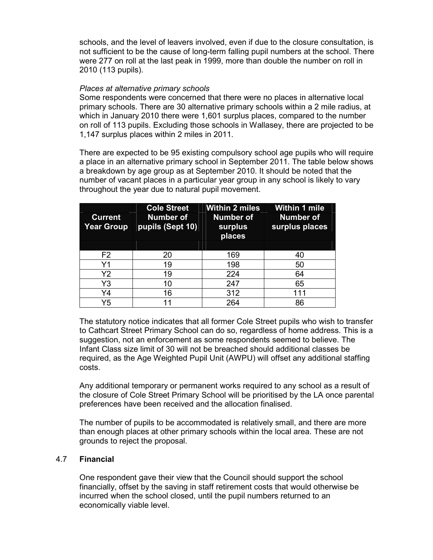schools, and the level of leavers involved, even if due to the closure consultation, is not sufficient to be the cause of long-term falling pupil numbers at the school. There were 277 on roll at the last peak in 1999, more than double the number on roll in 2010 (113 pupils).

#### *Places at alternative primary schools*

 Some respondents were concerned that there were no places in alternative local primary schools. There are 30 alternative primary schools within a 2 mile radius, at which in January 2010 there were 1,601 surplus places, compared to the number on roll of 113 pupils. Excluding those schools in Wallasey, there are projected to be 1,147 surplus places within 2 miles in 2011.

 There are expected to be 95 existing compulsory school age pupils who will require a place in an alternative primary school in September 2011. The table below shows a breakdown by age group as at September 2010. It should be noted that the number of vacant places in a particular year group in any school is likely to vary throughout the year due to natural pupil movement.

|                                     | <b>Cole Street</b>                   | <b>Within 2 miles</b>                 | <b>Within 1 mile</b>               |
|-------------------------------------|--------------------------------------|---------------------------------------|------------------------------------|
| <b>Current</b><br><b>Year Group</b> | <b>Number of</b><br>pupils (Sept 10) | <b>Number of</b><br>surplus<br>places | <b>Number of</b><br>surplus places |
|                                     |                                      |                                       |                                    |
| F <sub>2</sub>                      | 20                                   | 169                                   | 40                                 |
| Υ1                                  | 19                                   | 198                                   | 50                                 |
| Y2                                  | 19                                   | 224                                   | 64                                 |
| Y3                                  | 10                                   | 247                                   | 65                                 |
| Υ4                                  | 16                                   | 312                                   | 111                                |
| Υ5                                  |                                      | 264                                   | 86                                 |

 The statutory notice indicates that all former Cole Street pupils who wish to transfer to Cathcart Street Primary School can do so, regardless of home address. This is a suggestion, not an enforcement as some respondents seemed to believe. The Infant Class size limit of 30 will not be breached should additional classes be required, as the Age Weighted Pupil Unit (AWPU) will offset any additional staffing costs.

 Any additional temporary or permanent works required to any school as a result of the closure of Cole Street Primary School will be prioritised by the LA once parental preferences have been received and the allocation finalised.

 The number of pupils to be accommodated is relatively small, and there are more than enough places at other primary schools within the local area. These are not grounds to reject the proposal.

# 4.7 **Financial**

 One respondent gave their view that the Council should support the school financially, offset by the saving in staff retirement costs that would otherwise be incurred when the school closed, until the pupil numbers returned to an economically viable level.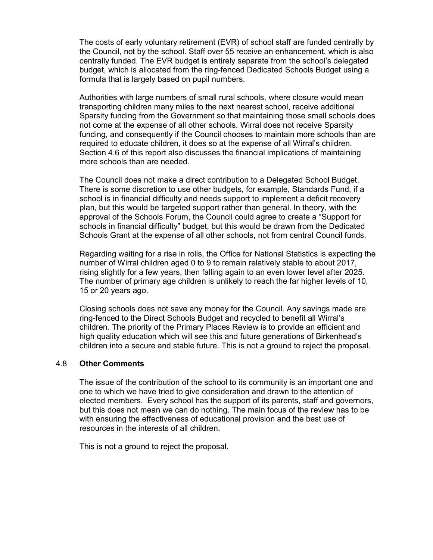The costs of early voluntary retirement (EVR) of school staff are funded centrally by the Council, not by the school. Staff over 55 receive an enhancement, which is also centrally funded. The EVR budget is entirely separate from the school's delegated budget, which is allocated from the ring-fenced Dedicated Schools Budget using a formula that is largely based on pupil numbers.

 Authorities with large numbers of small rural schools, where closure would mean transporting children many miles to the next nearest school, receive additional Sparsity funding from the Government so that maintaining those small schools does not come at the expense of all other schools. Wirral does not receive Sparsity funding, and consequently if the Council chooses to maintain more schools than are required to educate children, it does so at the expense of all Wirral's children. Section 4.6 of this report also discusses the financial implications of maintaining more schools than are needed.

 The Council does not make a direct contribution to a Delegated School Budget. There is some discretion to use other budgets, for example, Standards Fund, if a school is in financial difficulty and needs support to implement a deficit recovery plan, but this would be targeted support rather than general. In theory, with the approval of the Schools Forum, the Council could agree to create a "Support for schools in financial difficulty" budget, but this would be drawn from the Dedicated Schools Grant at the expense of all other schools, not from central Council funds.

 Regarding waiting for a rise in rolls, the Office for National Statistics is expecting the number of Wirral children aged 0 to 9 to remain relatively stable to about 2017, rising slightly for a few years, then falling again to an even lower level after 2025. The number of primary age children is unlikely to reach the far higher levels of 10, 15 or 20 years ago.

 Closing schools does not save any money for the Council. Any savings made are ring-fenced to the Direct Schools Budget and recycled to benefit all Wirral's children. The priority of the Primary Places Review is to provide an efficient and high quality education which will see this and future generations of Birkenhead's children into a secure and stable future. This is not a ground to reject the proposal.

# 4.8 **Other Comments**

 The issue of the contribution of the school to its community is an important one and one to which we have tried to give consideration and drawn to the attention of elected members. Every school has the support of its parents, staff and governors, but this does not mean we can do nothing. The main focus of the review has to be with ensuring the effectiveness of educational provision and the best use of resources in the interests of all children.

This is not a ground to reject the proposal.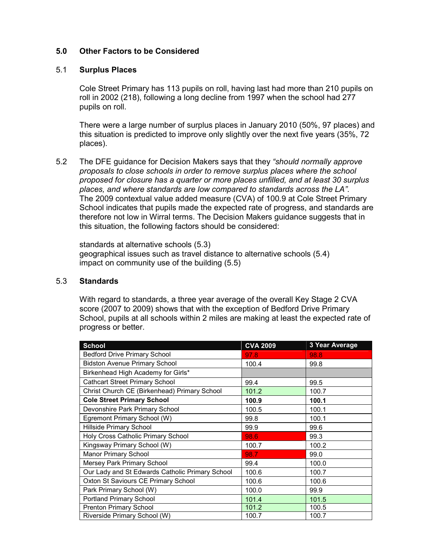# **5.0 Other Factors to be Considered**

# 5.1 **Surplus Places**

 Cole Street Primary has 113 pupils on roll, having last had more than 210 pupils on roll in 2002 (218), following a long decline from 1997 when the school had 277 pupils on roll.

 There were a large number of surplus places in January 2010 (50%, 97 places) and this situation is predicted to improve only slightly over the next five years (35%, 72 places).

5.2 The DFE guidance for Decision Makers says that they *"should normally approve proposals to close schools in order to remove surplus places where the school proposed for closure has a quarter or more places unfilled, and at least 30 surplus places, and where standards are low compared to standards across the LA"*. The 2009 contextual value added measure (CVA) of 100.9 at Cole Street Primary School indicates that pupils made the expected rate of progress, and standards are therefore not low in Wirral terms. The Decision Makers guidance suggests that in this situation, the following factors should be considered:

 standards at alternative schools (5.3) geographical issues such as travel distance to alternative schools (5.4) impact on community use of the building (5.5)

#### 5.3 **Standards**

 With regard to standards, a three year average of the overall Key Stage 2 CVA score (2007 to 2009) shows that with the exception of Bedford Drive Primary School, pupils at all schools within 2 miles are making at least the expected rate of progress or better.

| <b>School</b>                                   | <b>CVA 2009</b> | 3 Year Average |
|-------------------------------------------------|-----------------|----------------|
| <b>Bedford Drive Primary School</b>             | 97.8            | 98.8           |
| <b>Bidston Avenue Primary School</b>            | 100.4           | 99.8           |
| Birkenhead High Academy for Girls*              |                 |                |
| <b>Cathcart Street Primary School</b>           | 99.4            | 99.5           |
| Christ Church CE (Birkenhead) Primary School    | 101.2           | 100.7          |
| <b>Cole Street Primary School</b>               | 100.9           | 100.1          |
| Devonshire Park Primary School                  | 100.5           | 100.1          |
| Egremont Primary School (W)                     | 99.8            | 100.1          |
| <b>Hillside Primary School</b>                  | 99.9            | 99.6           |
| Holy Cross Catholic Primary School              | 98.6            | 99.3           |
| Kingsway Primary School (W)                     | 100.7           | 100.2          |
| <b>Manor Primary School</b>                     | 98.7            | 99.0           |
| Mersey Park Primary School                      | 99.4            | 100.0          |
| Our Lady and St Edwards Catholic Primary School | 100.6           | 100.7          |
| Oxton St Saviours CE Primary School             | 100.6           | 100.6          |
| Park Primary School (W)                         | 100.0           | 99.9           |
| Portland Primary School                         | 101.4           | 101.5          |
| <b>Prenton Primary School</b>                   | 101.2           | 100.5          |
| Riverside Primary School (W)                    | 100.7           | 100.7          |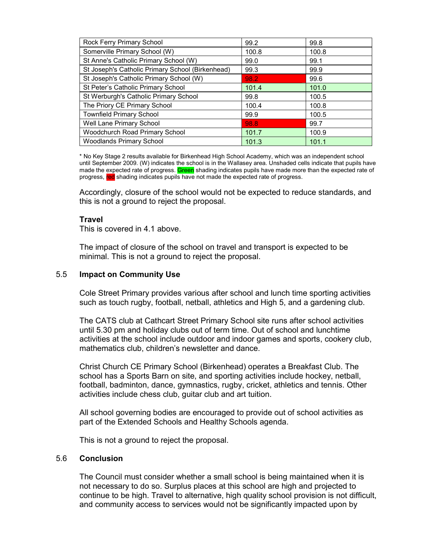| Rock Ferry Primary School                        | 99.2  | 99.8  |
|--------------------------------------------------|-------|-------|
| Somerville Primary School (W)                    | 100.8 | 100.8 |
| St Anne's Catholic Primary School (W)            | 99.0  | 99.1  |
| St Joseph's Catholic Primary School (Birkenhead) | 99.3  | 99.9  |
| St Joseph's Catholic Primary School (W)          | 98.2  | 99.6  |
| St Peter's Catholic Primary School               | 101.4 | 101.0 |
| St Werburgh's Catholic Primary School            | 99.8  | 100.5 |
| The Priory CE Primary School                     | 100.4 | 100.8 |
| <b>Townfield Primary School</b>                  | 99.9  | 100.5 |
| Well Lane Primary School                         | 98.8  | 99.7  |
| Woodchurch Road Primary School                   | 101.7 | 100.9 |
| <b>Woodlands Primary School</b>                  | 101.3 | 101.1 |

 \* No Key Stage 2 results available for Birkenhead High School Academy, which was an independent school until September 2009. (W) indicates the school is in the Wallasey area. Unshaded cells indicate that pupils have made the expected rate of progress. Green shading indicates pupils have made more than the expected rate of progress, red shading indicates pupils have not made the expected rate of progress.

 Accordingly, closure of the school would not be expected to reduce standards, and this is not a ground to reject the proposal.

#### **Travel**

This is covered in 4.1 above.

 The impact of closure of the school on travel and transport is expected to be minimal. This is not a ground to reject the proposal.

#### 5.5 **Impact on Community Use**

 Cole Street Primary provides various after school and lunch time sporting activities such as touch rugby, football, netball, athletics and High 5, and a gardening club.

 The CATS club at Cathcart Street Primary School site runs after school activities until 5.30 pm and holiday clubs out of term time. Out of school and lunchtime activities at the school include outdoor and indoor games and sports, cookery club, mathematics club, children's newsletter and dance.

 Christ Church CE Primary School (Birkenhead) operates a Breakfast Club. The school has a Sports Barn on site, and sporting activities include hockey, netball, football, badminton, dance, gymnastics, rugby, cricket, athletics and tennis. Other activities include chess club, guitar club and art tuition.

 All school governing bodies are encouraged to provide out of school activities as part of the Extended Schools and Healthy Schools agenda.

This is not a ground to reject the proposal.

#### 5.6 **Conclusion**

 The Council must consider whether a small school is being maintained when it is not necessary to do so. Surplus places at this school are high and projected to continue to be high. Travel to alternative, high quality school provision is not difficult, and community access to services would not be significantly impacted upon by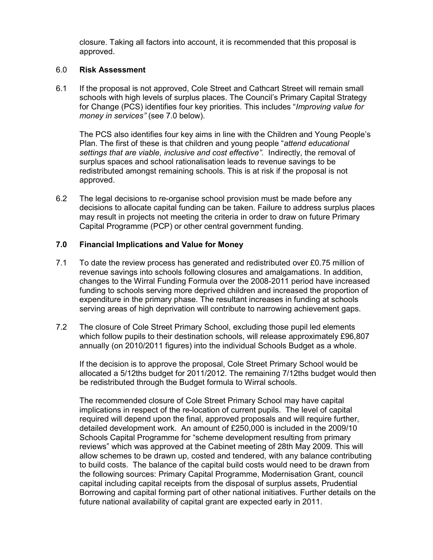closure. Taking all factors into account, it is recommended that this proposal is approved.

#### 6.0 **Risk Assessment**

6.1 If the proposal is not approved, Cole Street and Cathcart Street will remain small schools with high levels of surplus places. The Council's Primary Capital Strategy for Change (PCS) identifies four key priorities. This includes "*Improving value for money in services"* (see 7.0 below).

 The PCS also identifies four key aims in line with the Children and Young People's Plan. The first of these is that children and young people "*attend educational settings that are viable, inclusive and cost effective"*. Indirectly, the removal of surplus spaces and school rationalisation leads to revenue savings to be redistributed amongst remaining schools. This is at risk if the proposal is not approved.

6.2 The legal decisions to re-organise school provision must be made before any decisions to allocate capital funding can be taken. Failure to address surplus places may result in projects not meeting the criteria in order to draw on future Primary Capital Programme (PCP) or other central government funding.

# **7.0 Financial Implications and Value for Money**

- 7.1 To date the review process has generated and redistributed over £0.75 million of revenue savings into schools following closures and amalgamations. In addition, changes to the Wirral Funding Formula over the 2008-2011 period have increased funding to schools serving more deprived children and increased the proportion of expenditure in the primary phase. The resultant increases in funding at schools serving areas of high deprivation will contribute to narrowing achievement gaps.
- 7.2 The closure of Cole Street Primary School, excluding those pupil led elements which follow pupils to their destination schools, will release approximately £96,807 annually (on 2010/2011 figures) into the individual Schools Budget as a whole.

 If the decision is to approve the proposal, Cole Street Primary School would be allocated a 5/12ths budget for 2011/2012. The remaining 7/12ths budget would then be redistributed through the Budget formula to Wirral schools.

 The recommended closure of Cole Street Primary School may have capital implications in respect of the re-location of current pupils. The level of capital required will depend upon the final, approved proposals and will require further, detailed development work. An amount of £250,000 is included in the 2009/10 Schools Capital Programme for "scheme development resulting from primary reviews" which was approved at the Cabinet meeting of 28th May 2009. This will allow schemes to be drawn up, costed and tendered, with any balance contributing to build costs. The balance of the capital build costs would need to be drawn from the following sources: Primary Capital Programme, Modernisation Grant, council capital including capital receipts from the disposal of surplus assets, Prudential Borrowing and capital forming part of other national initiatives. Further details on the future national availability of capital grant are expected early in 2011.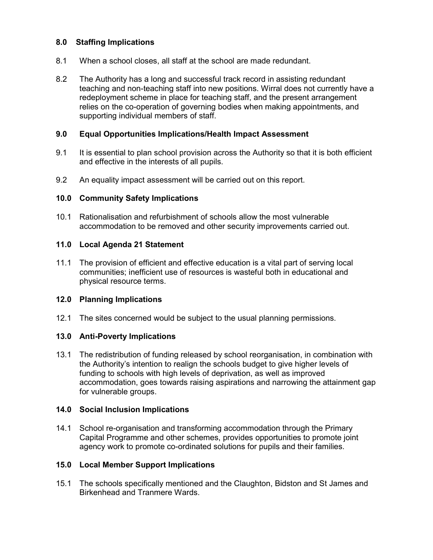# **8.0 Staffing Implications**

- 8.1 When a school closes, all staff at the school are made redundant.
- 8.2 The Authority has a long and successful track record in assisting redundant teaching and non-teaching staff into new positions. Wirral does not currently have a redeployment scheme in place for teaching staff, and the present arrangement relies on the co-operation of governing bodies when making appointments, and supporting individual members of staff.

# **9.0 Equal Opportunities Implications/Health Impact Assessment**

- 9.1 It is essential to plan school provision across the Authority so that it is both efficient and effective in the interests of all pupils.
- 9.2 An equality impact assessment will be carried out on this report.

# **10.0 Community Safety Implications**

10.1 Rationalisation and refurbishment of schools allow the most vulnerable accommodation to be removed and other security improvements carried out.

#### **11.0 Local Agenda 21 Statement**

11.1 The provision of efficient and effective education is a vital part of serving local communities; inefficient use of resources is wasteful both in educational and physical resource terms.

# **12.0 Planning Implications**

12.1 The sites concerned would be subject to the usual planning permissions.

# **13.0 Anti-Poverty Implications**

13.1 The redistribution of funding released by school reorganisation, in combination with the Authority's intention to realign the schools budget to give higher levels of funding to schools with high levels of deprivation, as well as improved accommodation, goes towards raising aspirations and narrowing the attainment gap for vulnerable groups.

#### **14.0 Social Inclusion Implications**

14.1 School re-organisation and transforming accommodation through the Primary Capital Programme and other schemes, provides opportunities to promote joint agency work to promote co-ordinated solutions for pupils and their families.

# **15.0 Local Member Support Implications**

15.1 The schools specifically mentioned and the Claughton, Bidston and St James and Birkenhead and Tranmere Wards.